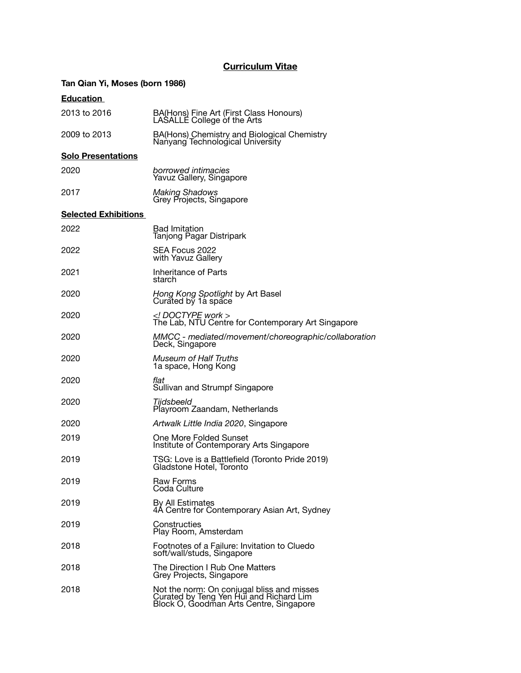## **Curriculum Vitae**

## **Tan Qian Yi, Moses (born 1986)**

## **Education**

| 2013 to 2016                | BA(Hons) Fine Art (First Class Honours)<br>LASALLE College of the Arts                                                           |
|-----------------------------|----------------------------------------------------------------------------------------------------------------------------------|
| 2009 to 2013                | BA(Hons) Chemistry and Biological Chemistry<br>Nanyang Technological University                                                  |
| <b>Solo Presentations</b>   |                                                                                                                                  |
| 2020                        | borrowed intimacies<br>Yavuz Gallery, Singapore                                                                                  |
| 2017                        | <b>Making Shadows</b><br>Grey Projects, Singapore                                                                                |
| <b>Selected Exhibitions</b> |                                                                                                                                  |
| 2022                        | <b>Bad Imitation</b><br>Tanjong Pagar Distripark                                                                                 |
| 2022                        | SEA Focus 2022<br>with Yavuz Gallery                                                                                             |
| 2021                        | Inheritance of Parts<br>starch                                                                                                   |
| 2020                        | Hong Kong Spotlight by Art Basel<br>Curated by 1a space                                                                          |
| 2020                        | $<$ ! DOCTYPE work ><br>The Lab, NTU Centre for Contemporary Art Singapore                                                       |
| 2020                        | MMCC - mediated/movement/choreographic/collaboration<br>Deck, Singapore                                                          |
| 2020                        | <b>Museum of Half Truths</b><br>1a space, Hong Kong                                                                              |
| 2020                        | flat<br>Sullivan and Strumpf Singapore                                                                                           |
| 2020                        | Tiidsbeeld<br>Playroom Zaandam, Netherlands                                                                                      |
| 2020                        | Artwalk Little India 2020, Singapore                                                                                             |
| 2019                        | One More Folded Sunset<br>Institute of Contemporary Arts Singapore                                                               |
| 2019                        | TSG: Love is a Battlefield (Toronto Pride 2019)<br>Gladstone Hotel, Toronto                                                      |
| 2019                        | <b>Raw Forms</b><br>Coda Culture                                                                                                 |
| 2019                        | By All Estimates<br>4A Centre for Contemporary Asian Art, Sydney                                                                 |
| 2019                        | Constructies<br>Play Room, Amsterdam                                                                                             |
| 2018                        | Footnotes of a Failure: Invitation to Cluedo<br>soft/wall/studs, Singapore                                                       |
| 2018                        | The Direction I Rub One Matters<br>Grey Projects, Singapore                                                                      |
| 2018                        | Not the norm: On conjugal bliss and misses<br>Curated by Teng Yen Hui and Richard Lim<br>Block O, Goodman Arts Centre, Singapore |